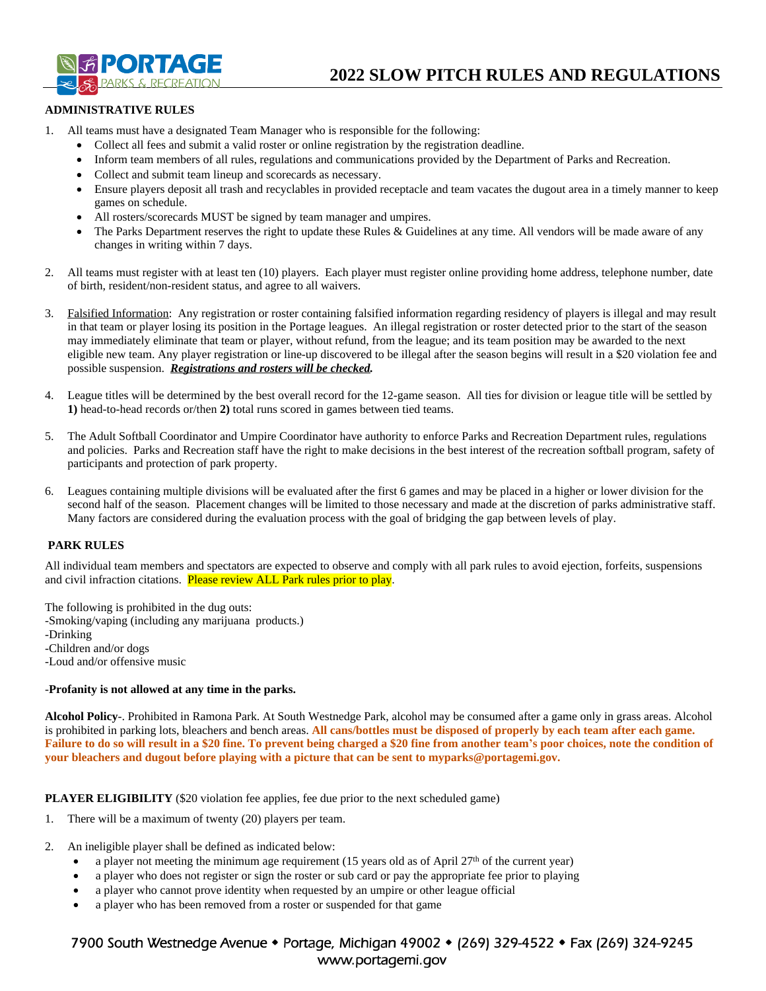

# **ADMINISTRATIVE RULES**

- 1. All teams must have a designated Team Manager who is responsible for the following:
	- Collect all fees and submit a valid roster or online registration by the registration deadline.
	- Inform team members of all rules, regulations and communications provided by the Department of Parks and Recreation.
	- Collect and submit team lineup and scorecards as necessary.
	- Ensure players deposit all trash and recyclables in provided receptacle and team vacates the dugout area in a timely manner to keep games on schedule.
	- All rosters/scorecards MUST be signed by team manager and umpires.
	- The Parks Department reserves the right to update these Rules & Guidelines at any time. All vendors will be made aware of any changes in writing within 7 days.
- 2. All teams must register with at least ten (10) players. Each player must register online providing home address, telephone number, date of birth, resident/non-resident status, and agree to all waivers.
- 3. Falsified Information: Any registration or roster containing falsified information regarding residency of players is illegal and may result in that team or player losing its position in the Portage leagues. An illegal registration or roster detected prior to the start of the season may immediately eliminate that team or player, without refund, from the league; and its team position may be awarded to the next eligible new team. Any player registration or line-up discovered to be illegal after the season begins will result in a \$20 violation fee and possible suspension. *Registrations and rosters will be checked.*
- 4. League titles will be determined by the best overall record for the 12-game season. All ties for division or league title will be settled by **1)** head-to-head records or/then **2)** total runs scored in games between tied teams.
- 5. The Adult Softball Coordinator and Umpire Coordinator have authority to enforce Parks and Recreation Department rules, regulations and policies. Parks and Recreation staff have the right to make decisions in the best interest of the recreation softball program, safety of participants and protection of park property.
- 6. Leagues containing multiple divisions will be evaluated after the first 6 games and may be placed in a higher or lower division for the second half of the season. Placement changes will be limited to those necessary and made at the discretion of parks administrative staff. Many factors are considered during the evaluation process with the goal of bridging the gap between levels of play.

## **PARK RULES**

All individual team members and spectators are expected to observe and comply with all park rules to avoid ejection, forfeits, suspensions and civil infraction citations. Please review ALL Park rules prior to play.

The following is prohibited in the dug outs: -Smoking/vaping (including any marijuana products.) -Drinking -Children and/or dogs -Loud and/or offensive music

#### -**Profanity is not allowed at any time in the parks.**

**Alcohol Policy**-. Prohibited in Ramona Park. At South Westnedge Park, alcohol may be consumed after a game only in grass areas. Alcohol is prohibited in parking lots, bleachers and bench areas. **All cans/bottles must be disposed of properly by each team after each game. Failure to do so will result in a \$20 fine. To prevent being charged a \$20 fine from another team's poor choices, note the condition of your bleachers and dugout before playing with a picture that can be sent to myparks@portagemi.gov.**

**PLAYER ELIGIBILITY** (\$20 violation fee applies, fee due prior to the next scheduled game)

- 1. There will be a maximum of twenty (20) players per team.
- 2. An ineligible player shall be defined as indicated below:
	- a player not meeting the minimum age requirement (15 years old as of April 27<sup>th</sup> of the current year)
	- a player who does not register or sign the roster or sub card or pay the appropriate fee prior to playing
	- a player who cannot prove identity when requested by an umpire or other league official
	- a player who has been removed from a roster or suspended for that game

# 7900 South Westnedge Avenue • Portage, Michigan 49002 • (269) 329-4522 • Fax (269) 324-9245 www.portagemi.gov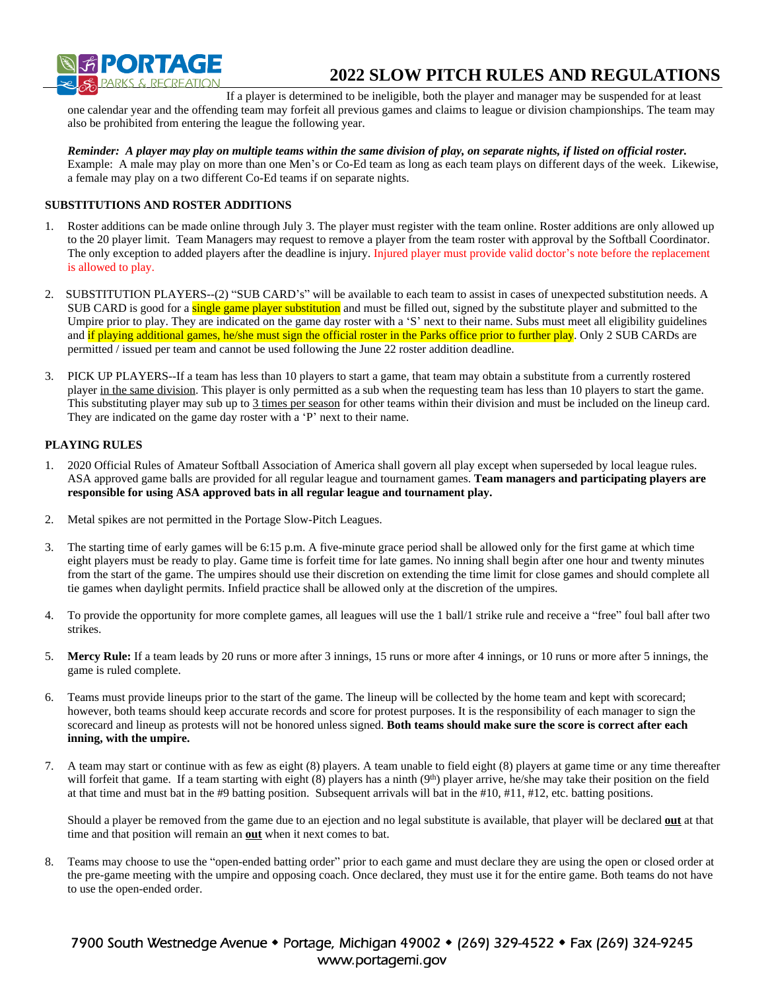

# **2022 SLOW PITCH RULES AND REGULATIONS**

If a player is determined to be ineligible, both the player and manager may be suspended for at least one calendar year and the offending team may forfeit all previous games and claims to league or division championships. The team may also be prohibited from entering the league the following year.

*Reminder: A player may play on multiple teams within the same division of play, on separate nights, if listed on official roster.*  Example: A male may play on more than one Men's or Co-Ed team as long as each team plays on different days of the week. Likewise, a female may play on a two different Co-Ed teams if on separate nights.

#### **SUBSTITUTIONS AND ROSTER ADDITIONS**

- 1. Roster additions can be made online through July 3. The player must register with the team online. Roster additions are only allowed up to the 20 player limit. Team Managers may request to remove a player from the team roster with approval by the Softball Coordinator. The only exception to added players after the deadline is injury. Injured player must provide valid doctor's note before the replacement is allowed to play.
- 2. SUBSTITUTION PLAYERS--(2) "SUB CARD's" will be available to each team to assist in cases of unexpected substitution needs. A SUB CARD is good for a single game player substitution and must be filled out, signed by the substitute player and submitted to the Umpire prior to play. They are indicated on the game day roster with a 'S' next to their name. Subs must meet all eligibility guidelines and if playing additional games, he/she must sign the official roster in the Parks office prior to further play. Only 2 SUB CARDs are permitted / issued per team and cannot be used following the June 22 roster addition deadline.
- 3. PICK UP PLAYERS--If a team has less than 10 players to start a game, that team may obtain a substitute from a currently rostered player in the same division. This player is only permitted as a sub when the requesting team has less than 10 players to start the game. This substituting player may sub up to 3 times per season for other teams within their division and must be included on the lineup card. They are indicated on the game day roster with a 'P' next to their name.

### **PLAYING RULES**

- 1. 2020 Official Rules of Amateur Softball Association of America shall govern all play except when superseded by local league rules. ASA approved game balls are provided for all regular league and tournament games. **Team managers and participating players are responsible for using ASA approved bats in all regular league and tournament play.**
- 2. Metal spikes are not permitted in the Portage Slow-Pitch Leagues.
- 3. The starting time of early games will be 6:15 p.m. A five-minute grace period shall be allowed only for the first game at which time eight players must be ready to play. Game time is forfeit time for late games. No inning shall begin after one hour and twenty minutes from the start of the game. The umpires should use their discretion on extending the time limit for close games and should complete all tie games when daylight permits. Infield practice shall be allowed only at the discretion of the umpires.
- 4. To provide the opportunity for more complete games, all leagues will use the 1 ball/1 strike rule and receive a "free" foul ball after two strikes.
- 5. **Mercy Rule:** If a team leads by 20 runs or more after 3 innings, 15 runs or more after 4 innings, or 10 runs or more after 5 innings, the game is ruled complete.
- 6. Teams must provide lineups prior to the start of the game. The lineup will be collected by the home team and kept with scorecard; however, both teams should keep accurate records and score for protest purposes. It is the responsibility of each manager to sign the scorecard and lineup as protests will not be honored unless signed. **Both teams should make sure the score is correct after each inning, with the umpire.**
- 7. A team may start or continue with as few as eight (8) players. A team unable to field eight (8) players at game time or any time thereafter will forfeit that game. If a team starting with eight (8) players has a ninth (9<sup>th</sup>) player arrive, he/she may take their position on the field at that time and must bat in the #9 batting position. Subsequent arrivals will bat in the  $#10, #11, #12$ , etc. batting positions.

Should a player be removed from the game due to an ejection and no legal substitute is available, that player will be declared **out** at that time and that position will remain an **out** when it next comes to bat.

8. Teams may choose to use the "open-ended batting order" prior to each game and must declare they are using the open or closed order at the pre-game meeting with the umpire and opposing coach. Once declared, they must use it for the entire game. Both teams do not have to use the open-ended order.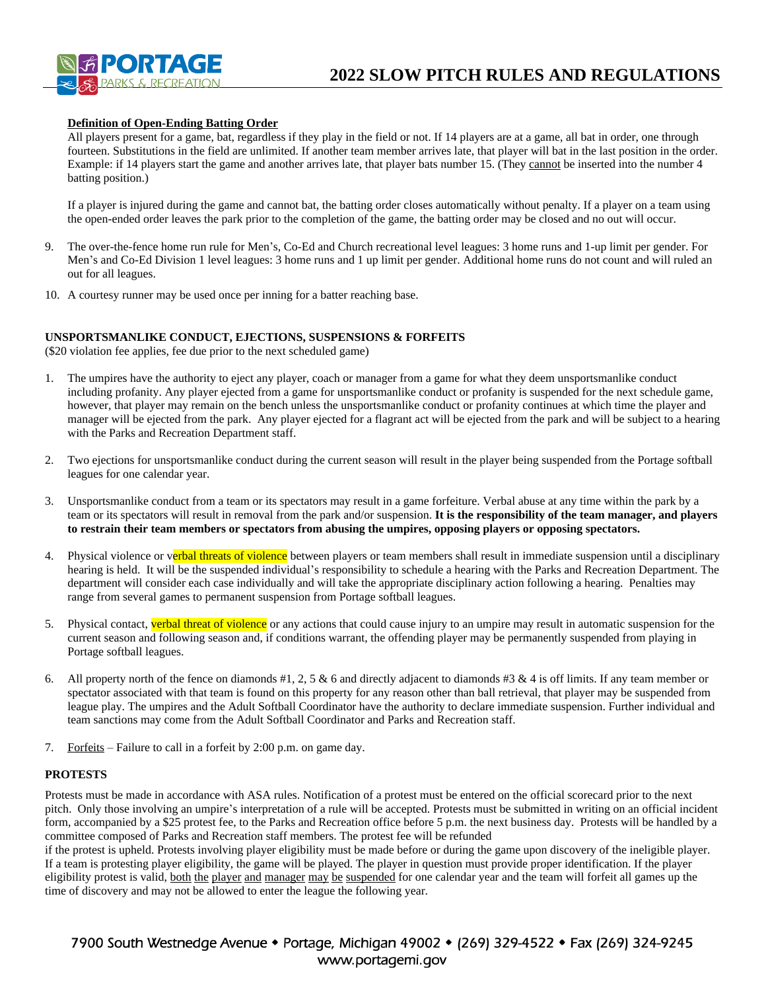

#### **Definition of Open-Ending Batting Order**

All players present for a game, bat, regardless if they play in the field or not. If 14 players are at a game, all bat in order, one through fourteen. Substitutions in the field are unlimited. If another team member arrives late, that player will bat in the last position in the order. Example: if 14 players start the game and another arrives late, that player bats number 15. (They cannot be inserted into the number 4 batting position.)

If a player is injured during the game and cannot bat, the batting order closes automatically without penalty. If a player on a team using the open-ended order leaves the park prior to the completion of the game, the batting order may be closed and no out will occur.

- 9. The over-the-fence home run rule for Men's, Co-Ed and Church recreational level leagues: 3 home runs and 1-up limit per gender. For Men's and Co-Ed Division 1 level leagues: 3 home runs and 1 up limit per gender. Additional home runs do not count and will ruled an out for all leagues.
- 10. A courtesy runner may be used once per inning for a batter reaching base.

#### **UNSPORTSMANLIKE CONDUCT, EJECTIONS, SUSPENSIONS & FORFEITS**

(\$20 violation fee applies, fee due prior to the next scheduled game)

- 1. The umpires have the authority to eject any player, coach or manager from a game for what they deem unsportsmanlike conduct including profanity. Any player ejected from a game for unsportsmanlike conduct or profanity is suspended for the next schedule game, however, that player may remain on the bench unless the unsportsmanlike conduct or profanity continues at which time the player and manager will be ejected from the park. Any player ejected for a flagrant act will be ejected from the park and will be subject to a hearing with the Parks and Recreation Department staff.
- 2. Two ejections for unsportsmanlike conduct during the current season will result in the player being suspended from the Portage softball leagues for one calendar year.
- 3. Unsportsmanlike conduct from a team or its spectators may result in a game forfeiture. Verbal abuse at any time within the park by a team or its spectators will result in removal from the park and/or suspension. **It is the responsibility of the team manager, and players to restrain their team members or spectators from abusing the umpires, opposing players or opposing spectators.**
- 4. Physical violence or verbal threats of violence between players or team members shall result in immediate suspension until a disciplinary hearing is held. It will be the suspended individual's responsibility to schedule a hearing with the Parks and Recreation Department. The department will consider each case individually and will take the appropriate disciplinary action following a hearing. Penalties may range from several games to permanent suspension from Portage softball leagues.
- 5. Physical contact, verbal threat of violence or any actions that could cause injury to an umpire may result in automatic suspension for the current season and following season and, if conditions warrant, the offending player may be permanently suspended from playing in Portage softball leagues.
- 6. All property north of the fence on diamonds #1, 2, 5 & 6 and directly adjacent to diamonds #3 & 4 is off limits. If any team member or spectator associated with that team is found on this property for any reason other than ball retrieval, that player may be suspended from league play. The umpires and the Adult Softball Coordinator have the authority to declare immediate suspension. Further individual and team sanctions may come from the Adult Softball Coordinator and Parks and Recreation staff.
- 7. Forfeits Failure to call in a forfeit by 2:00 p.m. on game day.

#### **PROTESTS**

Protests must be made in accordance with ASA rules. Notification of a protest must be entered on the official scorecard prior to the next pitch. Only those involving an umpire's interpretation of a rule will be accepted. Protests must be submitted in writing on an official incident form, accompanied by a \$25 protest fee, to the Parks and Recreation office before 5 p.m. the next business day. Protests will be handled by a committee composed of Parks and Recreation staff members. The protest fee will be refunded

if the protest is upheld. Protests involving player eligibility must be made before or during the game upon discovery of the ineligible player. If a team is protesting player eligibility, the game will be played. The player in question must provide proper identification. If the player eligibility protest is valid, both the player and manager may be suspended for one calendar year and the team will forfeit all games up the time of discovery and may not be allowed to enter the league the following year.

7900 South Westnedge Avenue • Portage, Michigan 49002 • (269) 329-4522 • Fax (269) 324-9245 www.portagemi.gov